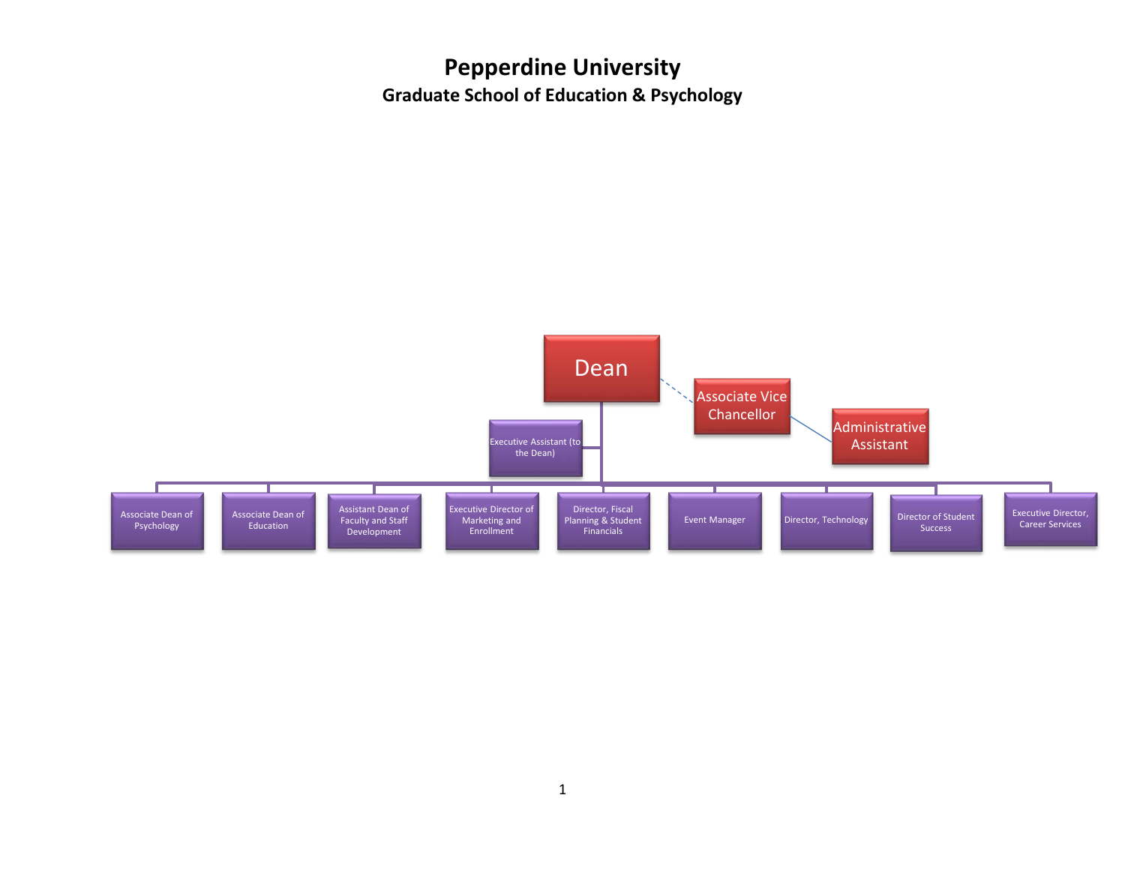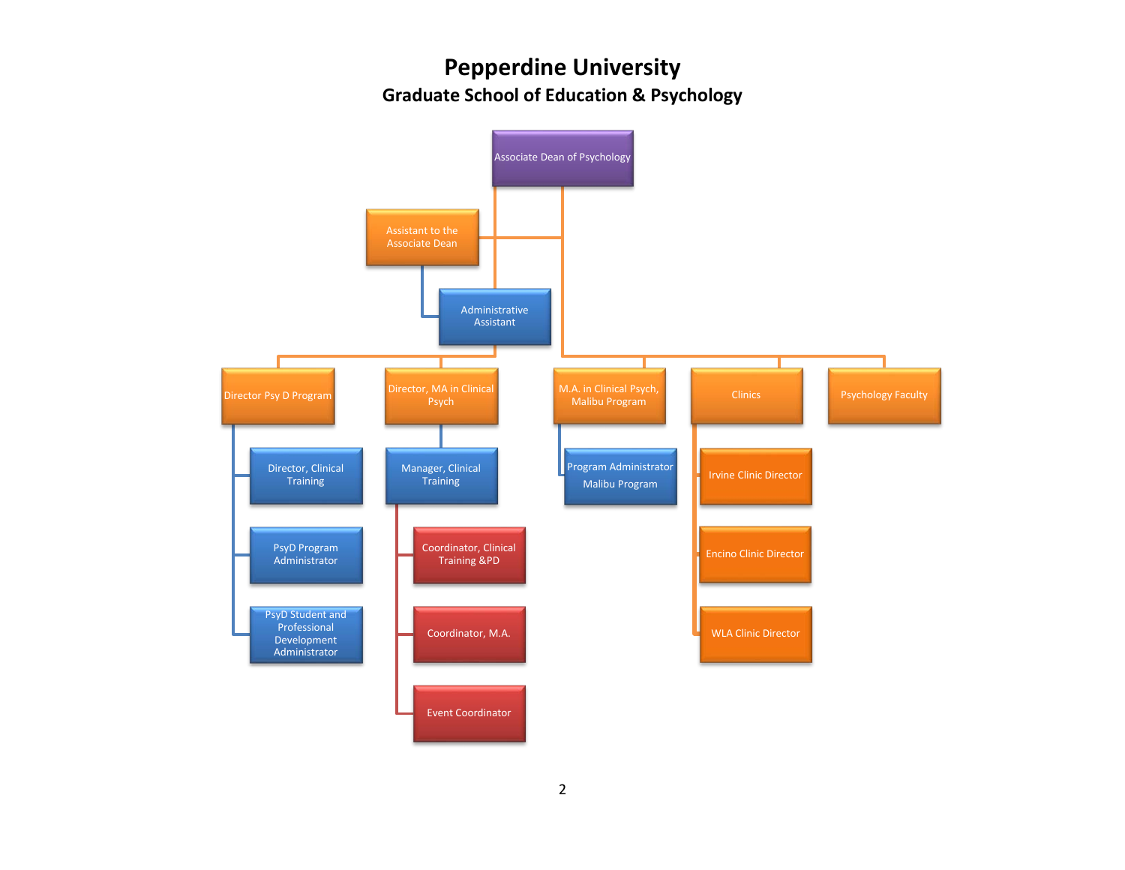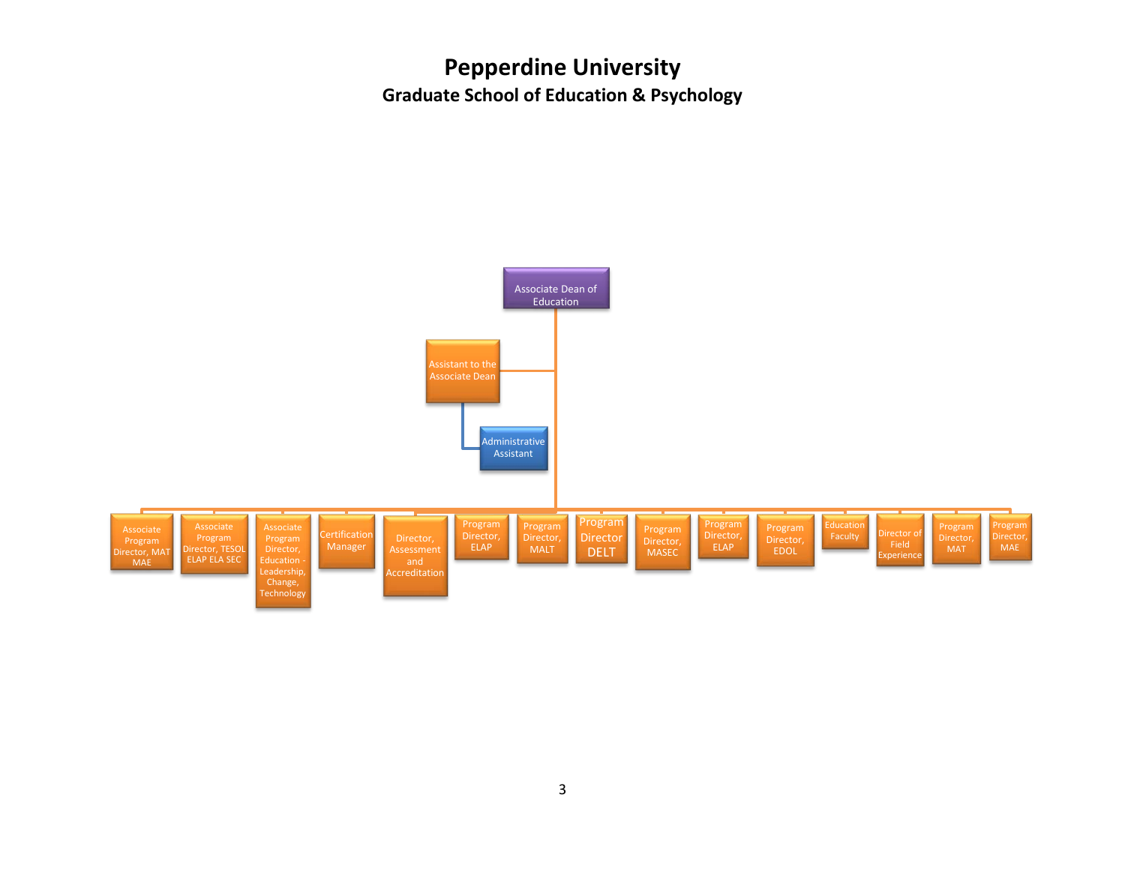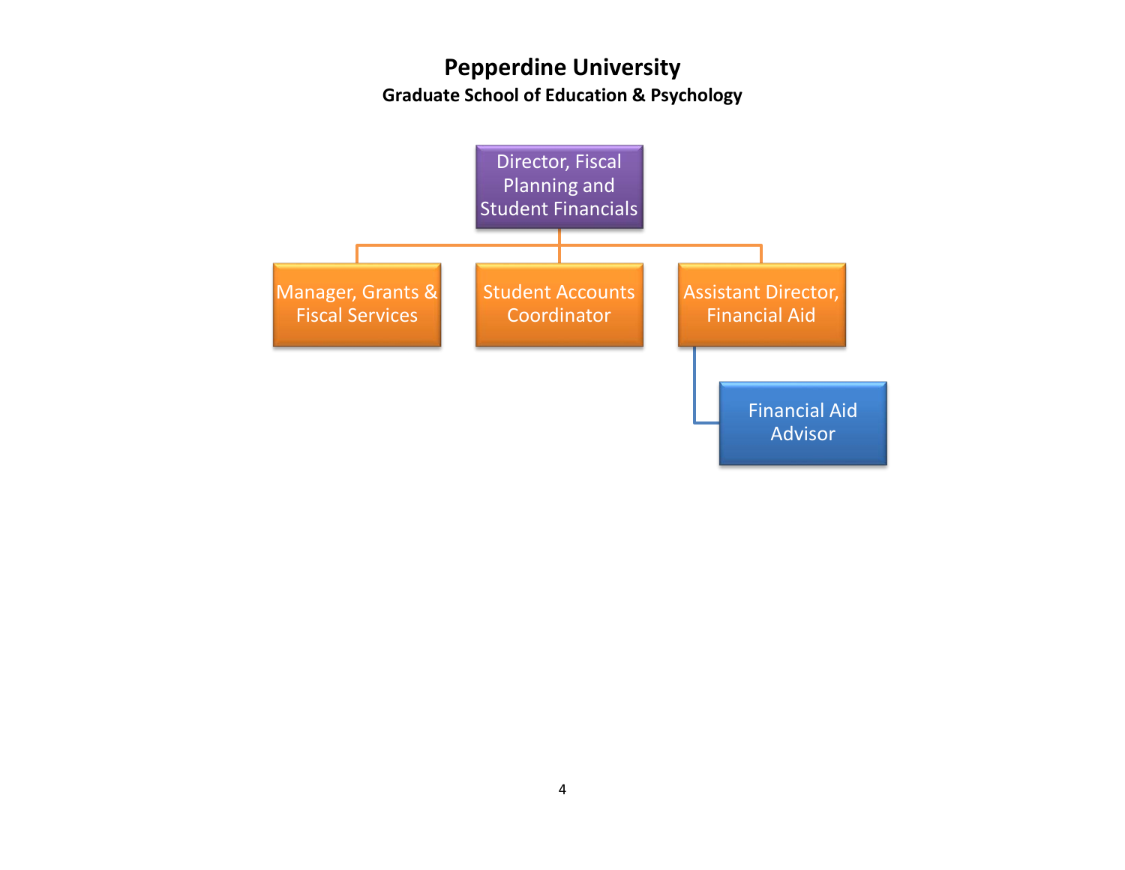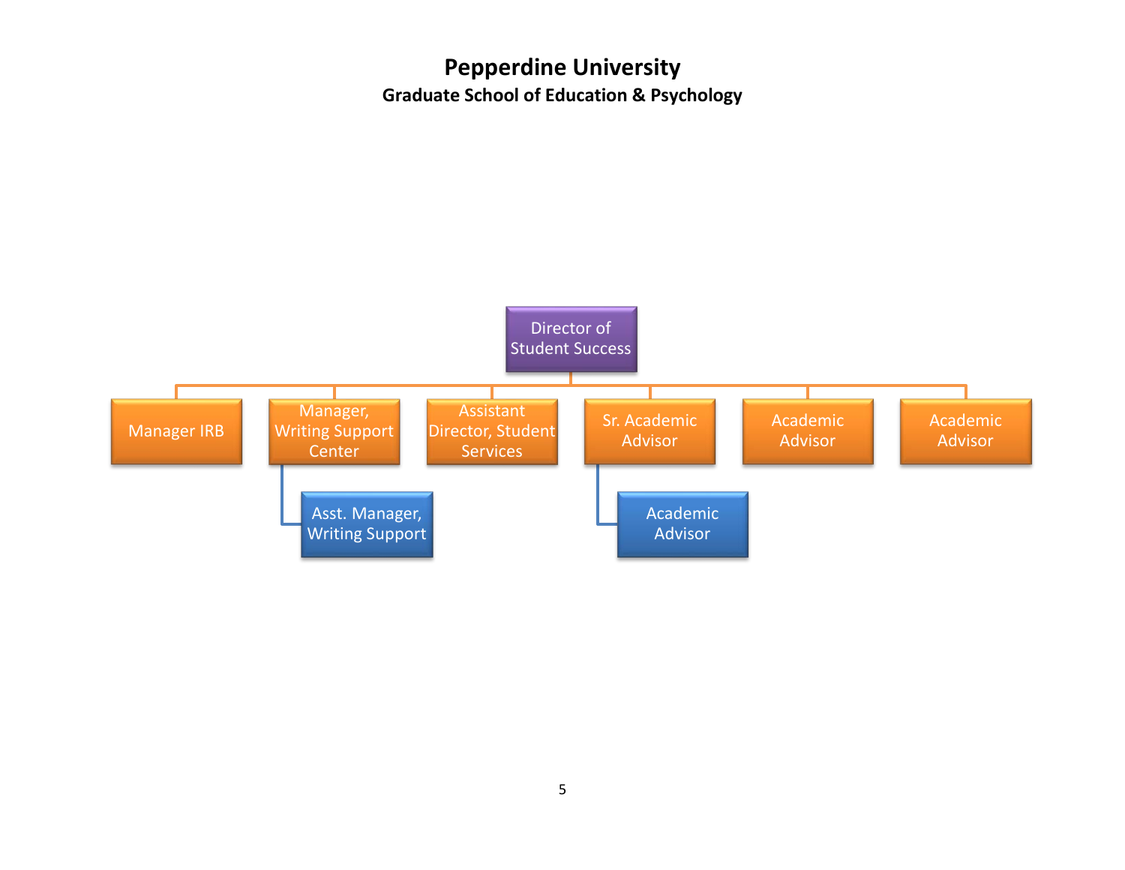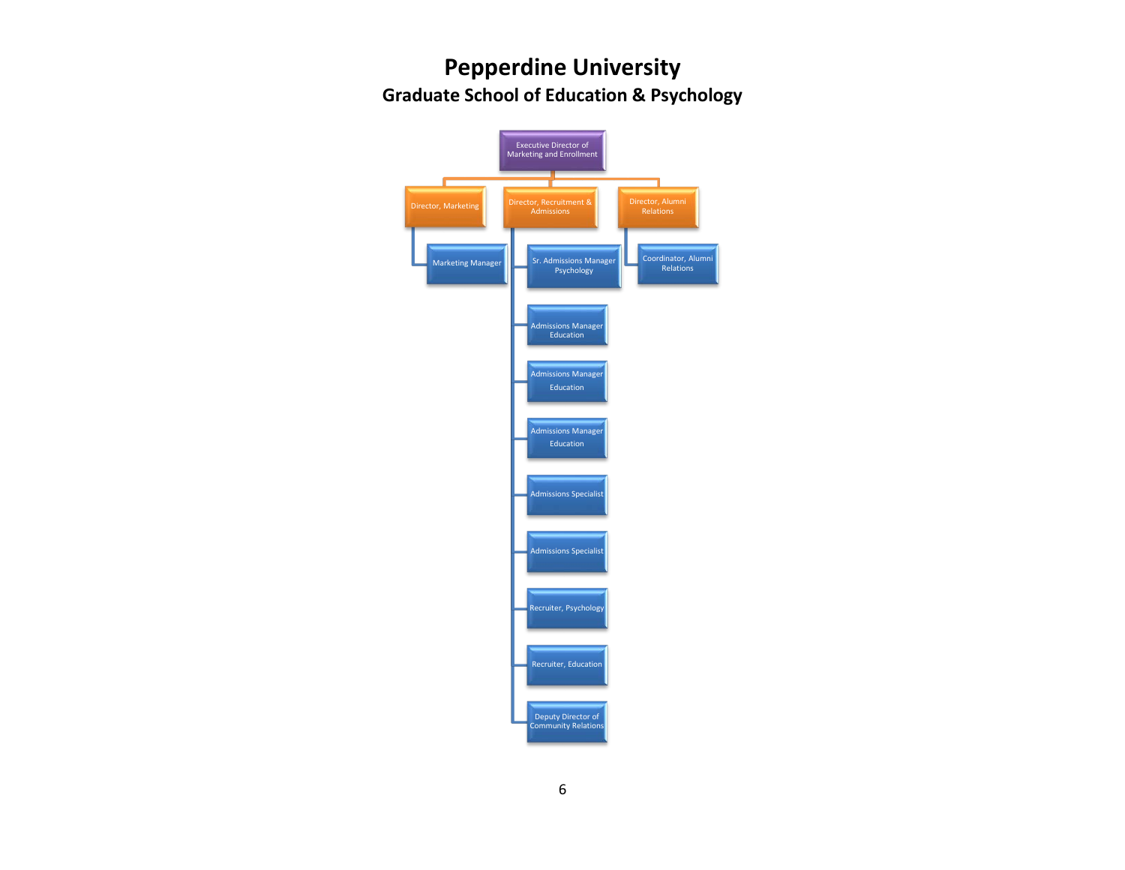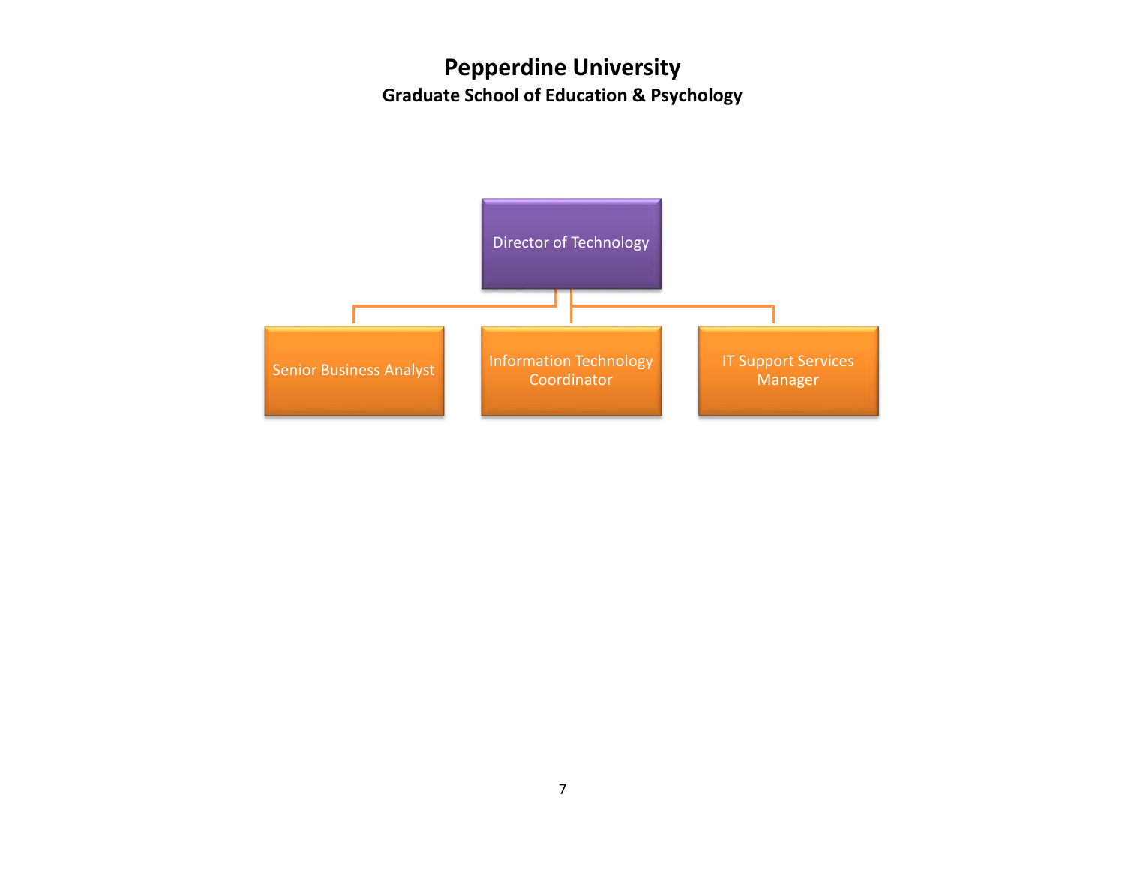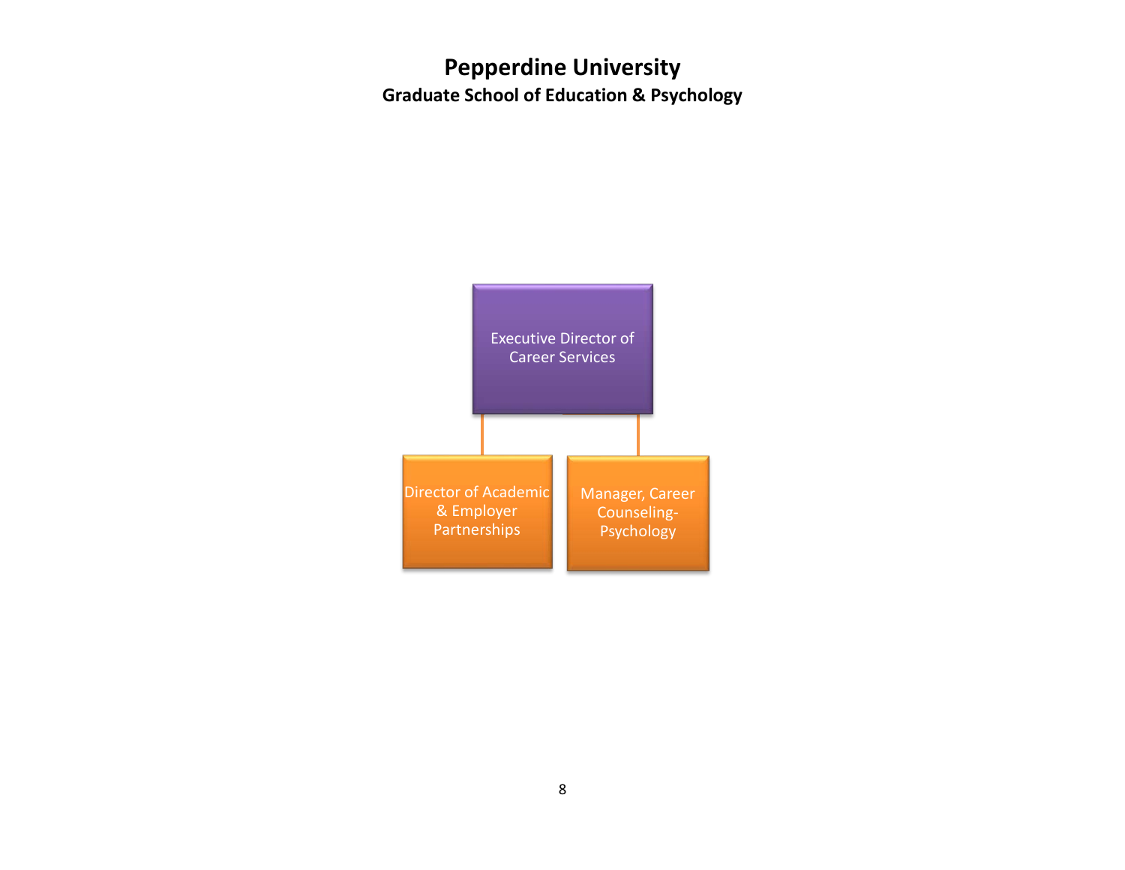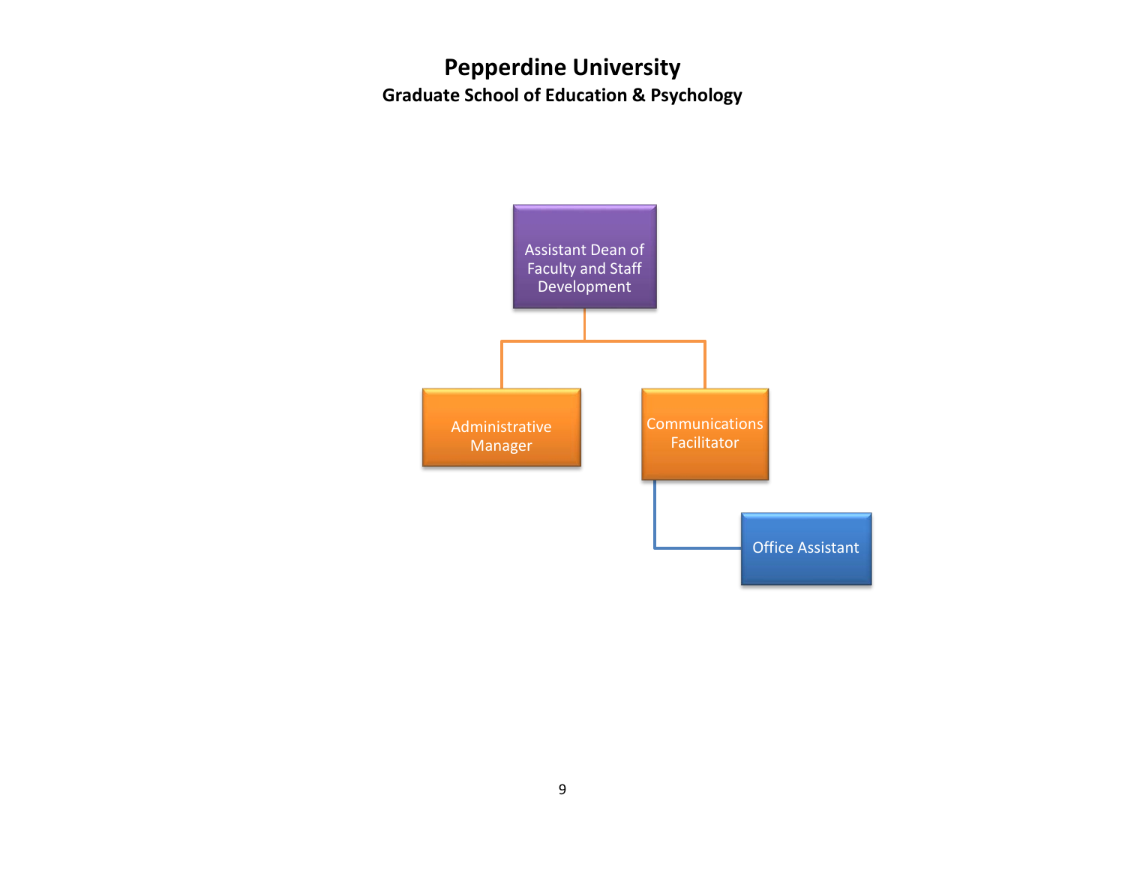